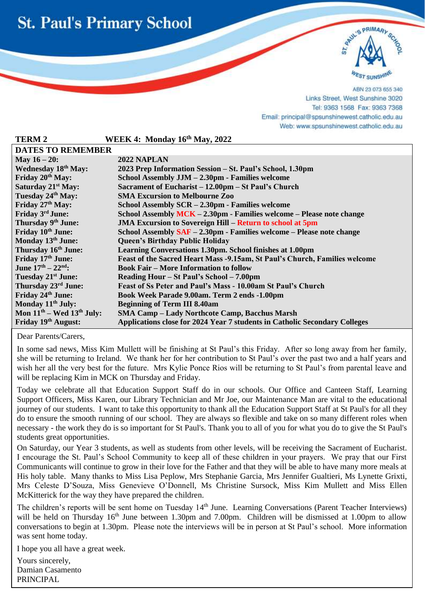



ABN 23 073 655 340 Links Street, West Sunshine 3020 Tel: 9363 1568 Fax: 9363 7368 Email: principal@spsunshinewest.catholic.edu.au Web: www.spsunshinewest.catholic.edu.au

| <b>TERM2</b>                    | WEEK 4: Monday 16th May, 2022                                              |  |
|---------------------------------|----------------------------------------------------------------------------|--|
| <b>DATES TO REMEMBER</b>        |                                                                            |  |
| May $16 - 20$ :                 | 2022 NAPLAN                                                                |  |
| Wednesday 18th May:             | 2023 Prep Information Session – St. Paul's School, 1.30pm                  |  |
| Friday 20 <sup>th</sup> May:    | School Assembly JJM - 2.30pm - Families welcome                            |  |
| Saturday 21 <sup>st</sup> May:  | Sacrament of Eucharist – 12.00pm – St Paul's Church                        |  |
| Tuesday 24th May:               | <b>SMA Excursion to Melbourne Zoo</b>                                      |  |
| Friday 27th May:                | School Assembly SCR – 2.30pm - Families welcome                            |  |
| Friday 3rd June:                | School Assembly MCK - 2.30pm - Families welcome - Please note change       |  |
| Thursday 9th June:              | <b>JMA Excursion to Sovereign Hill – Return to school at 5pm</b>           |  |
| Friday 10th June:               | School Assembly SAF - 2.30pm - Families welcome - Please note change       |  |
| Monday 13th June:               | <b>Queen's Birthday Public Holiday</b>                                     |  |
| Thursday 16 <sup>th</sup> June: | Learning Conversations 1.30pm. School finishes at 1.00pm                   |  |
| Friday 17th June:               | Feast of the Sacred Heart Mass -9.15am, St Paul's Church, Families welcome |  |
| June $17^{th} - 22^{nd}$ :      | <b>Book Fair – More Information to follow</b>                              |  |
| Tuesday 21 <sup>st</sup> June:  | Reading Hour – St Paul's School – 7.00pm                                   |  |
| Thursday 23 <sup>rd</sup> June: | Feast of Ss Peter and Paul's Mass - 10.00am St Paul's Church               |  |
| Friday 24th June:               | Book Week Parade 9.00am. Term 2 ends -1.00pm                               |  |
| Monday 11 <sup>th</sup> July:   | <b>Beginning of Term III 8.40am</b>                                        |  |
| Mon $11th$ – Wed $13th$ July:   | <b>SMA Camp – Lady Northcote Camp, Bacchus Marsh</b>                       |  |
| Friday 19th August:             | Applications close for 2024 Year 7 students in Catholic Secondary Colleges |  |

Dear Parents/Carers,

l

In some sad news, Miss Kim Mullett will be finishing at St Paul's this Friday. After so long away from her family, she will be returning to Ireland. We thank her for her contribution to St Paul's over the past two and a half years and wish her all the very best for the future. Mrs Kylie Ponce Rios will be returning to St Paul's from parental leave and will be replacing Kim in MCK on Thursday and Friday.

Today we celebrate all that Education Support Staff do in our schools. Our Office and Canteen Staff, Learning Support Officers, Miss Karen, our Library Technician and Mr Joe, our Maintenance Man are vital to the educational journey of our students. I want to take this opportunity to thank all the Education Support Staff at St Paul's for all they do to ensure the smooth running of our school. They are always so flexible and take on so many different roles when necessary - the work they do is so important for St Paul's. Thank you to all of you for what you do to give the St Paul's students great opportunities.

On Saturday, our Year 3 students, as well as students from other levels, will be receiving the Sacrament of Eucharist. I encourage the St. Paul's School Community to keep all of these children in your prayers. We pray that our First Communicants will continue to grow in their love for the Father and that they will be able to have many more meals at His holy table. Many thanks to Miss Lisa Peplow, Mrs Stephanie Garcia, Mrs Jennifer Gualtieri, Ms Lynette Grixti, Mrs Celeste D'Souza, Miss Genevieve O'Donnell, Ms Christine Sursock, Miss Kim Mullett and Miss Ellen McKitterick for the way they have prepared the children.

The children's reports will be sent home on Tuesday 14<sup>th</sup> June. Learning Conversations (Parent Teacher Interviews) will be held on Thursday  $16<sup>th</sup>$  June between 1.30pm and 7.00pm. Children will be dismissed at 1.00pm to allow conversations to begin at 1.30pm. Please note the interviews will be in person at St Paul's school. More information was sent home today.

I hope you all have a great week.

Yours sincerely, Damian Casamento PRINCIPAL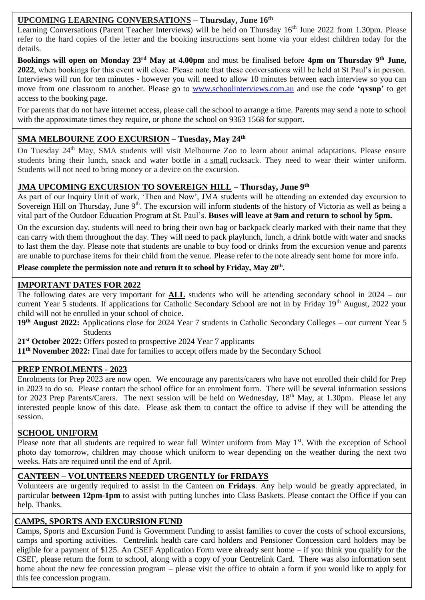### **UPCOMING LEARNING CONVERSATIONS – Thursday, June 16th**

Learning Conversations (Parent Teacher Interviews) will be held on Thursday 16<sup>th</sup> June 2022 from 1.30pm. Please refer to the hard copies of the letter and the booking instructions sent home via your eldest children today for the details.

**Bookings will open on Monday 23rd May at 4.00pm** and must be finalised before **4pm on Thursday 9th June, 2022**, when bookings for this event will close. Please note that these conversations will be held at St Paul's in person. Interviews will run for ten minutes - however you will need to allow 10 minutes between each interview so you can move from one classroom to another. Please go to [www.schoolinterviews.com.au](http://www.schoolinterviews.com.au/) and use the code **'qvsnp'** to get access to the booking page.

For parents that do not have internet access, please call the school to arrange a time. Parents may send a note to school with the approximate times they require, or phone the school on 9363 1568 for support.

### **SMA MELBOURNE ZOO EXCURSION – Tuesday, May 24th**

On Tuesday 24<sup>th</sup> May, SMA students will visit Melbourne Zoo to learn about animal adaptations. Please ensure students bring their lunch, snack and water bottle in a small rucksack. They need to wear their winter uniform. Students will not need to bring money or a device on the excursion.

## **JMA UPCOMING EXCURSION TO SOVEREIGN HILL – Thursday, June 9th**

As part of our Inquiry Unit of work, 'Then and Now', JMA students will be attending an extended day excursion to Sovereign Hill on Thursday, June  $9<sup>th</sup>$ . The excursion will inform students of the history of Victoria as well as being a vital part of the Outdoor Education Program at St. Paul's. **Buses will leave at 9am and return to school by 5pm.**

 are unable to purchase items for their child from the venue. Please refer to the note already sent home for more info. On the excursion day, students will need to bring their own bag or backpack clearly marked with their name that they can carry with them throughout the day. They will need to pack playlunch, lunch, a drink bottle with water and snacks to last them the day. Please note that students are unable to buy food or drinks from the excursion venue and parents

**Please complete the permission note and return it to school by Friday, May 20th .** 

### **IMPORTANT DATES FOR 2022**

child will not be enrolled in your school of choice. The following dates are very important for **ALL** students who will be attending secondary school in 2024 – our current Year 5 students. If applications for Catholic Secondary School are not in by Friday 19<sup>th</sup> August, 2022 your

**19th August 2022:** Applications close for 2024 Year 7 students in Catholic Secondary Colleges – our current Year 5 Students

**21st October 2022:** Offers posted to prospective 2024 Year 7 applicants

**11th November 2022:** Final date for families to accept offers made by the Secondary School

#### **PREP ENROLMENTS - 2023**

Enrolments for Prep 2023 are now open. We encourage any parents/carers who have not enrolled their child for Prep in 2023 to do so. Please contact the school office for an enrolment form. There will be several information sessions for 2023 Prep Parents/Carers. The next session will be held on Wednesday, 18<sup>th</sup> May, at 1.30pm. Please let any interested people know of this date. Please ask them to contact the office to advise if they will be attending the session.

#### **SCHOOL UNIFORM**

Please note that all students are required to wear full Winter uniform from May  $1<sup>st</sup>$ . With the exception of School photo day tomorrow, children may choose which uniform to wear depending on the weather during the next two weeks. Hats are required until the end of April.

#### **CANTEEN – VOLUNTEERS NEEDED URGENTLY for FRIDAYS**

Volunteers are urgently required to assist in the Canteen on **Fridays**. Any help would be greatly appreciated, in particular **between 12pm-1pm** to assist with putting lunches into Class Baskets. Please contact the Office if you can help. Thanks.

### **CAMPS, SPORTS AND EXCURSION FUND**

Camps, Sports and Excursion Fund is Government Funding to assist families to cover the costs of school excursions, camps and sporting activities. Centrelink health care card holders and Pensioner Concession card holders may be eligible for a payment of \$125. An CSEF Application Form were already sent home – if you think you qualify for the CSEF, please return the form to school, along with a copy of your Centrelink Card. There was also information sent home about the new fee concession program – please visit the office to obtain a form if you would like to apply for this fee concession program.